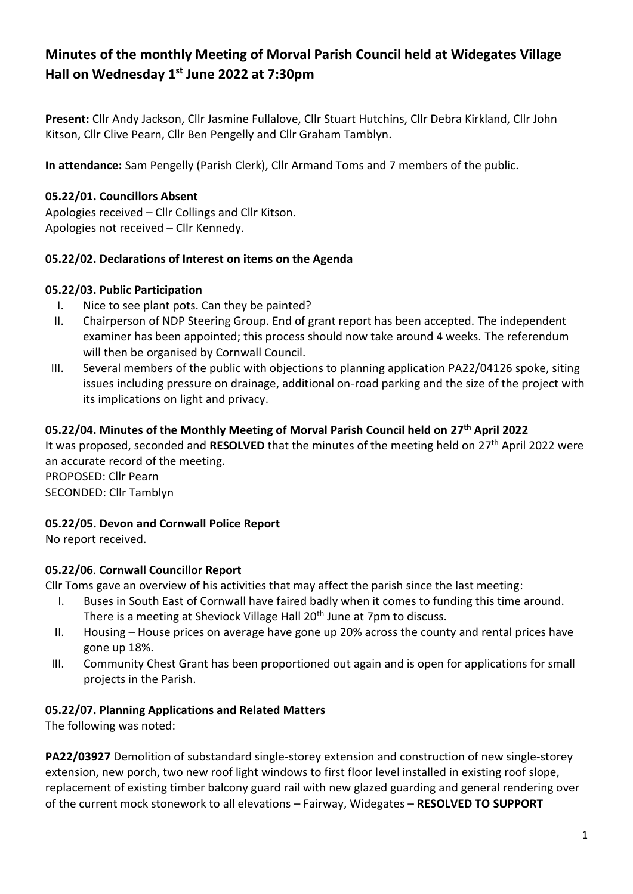# **Minutes of the monthly Meeting of Morval Parish Council held at Widegates Village Hall on Wednesday 1 st June 2022 at 7:30pm**

**Present:** Cllr Andy Jackson, Cllr Jasmine Fullalove, Cllr Stuart Hutchins, Cllr Debra Kirkland, Cllr John Kitson, Cllr Clive Pearn, Cllr Ben Pengelly and Cllr Graham Tamblyn.

**In attendance:** Sam Pengelly (Parish Clerk), Cllr Armand Toms and 7 members of the public.

### **05.22/01. Councillors Absent**

Apologies received – Cllr Collings and Cllr Kitson. Apologies not received – Cllr Kennedy.

### **05.22/02. Declarations of Interest on items on the Agenda**

#### **05.22/03. Public Participation**

- I. Nice to see plant pots. Can they be painted?
- II. Chairperson of NDP Steering Group. End of grant report has been accepted. The independent examiner has been appointed; this process should now take around 4 weeks. The referendum will then be organised by Cornwall Council.
- III. Several members of the public with objections to planning application PA22/04126 spoke, siting issues including pressure on drainage, additional on-road parking and the size of the project with its implications on light and privacy.

## **05.22/04. Minutes of the Monthly Meeting of Morval Parish Council held on 27 th April 2022**

It was proposed, seconded and **RESOLVED** that the minutes of the meeting held on 27th April 2022 were an accurate record of the meeting. PROPOSED: Cllr Pearn

SECONDED: Cllr Tamblyn

### **05.22/05. Devon and Cornwall Police Report**

No report received.

### **05.22/06**. **Cornwall Councillor Report**

Cllr Toms gave an overview of his activities that may affect the parish since the last meeting:

- I. Buses in South East of Cornwall have faired badly when it comes to funding this time around. There is a meeting at Sheviock Village Hall 20<sup>th</sup> June at 7pm to discuss.
- II. Housing House prices on average have gone up 20% across the county and rental prices have gone up 18%.
- III. Community Chest Grant has been proportioned out again and is open for applications for small projects in the Parish.

#### **05.22/07. Planning Applications and Related Matters**

The following was noted:

**PA22/03927** Demolition of substandard single-storey extension and construction of new single-storey extension, new porch, two new roof light windows to first floor level installed in existing roof slope, replacement of existing timber balcony guard rail with new glazed guarding and general rendering over of the current mock stonework to all elevations – Fairway, Widegates – **RESOLVED TO SUPPORT**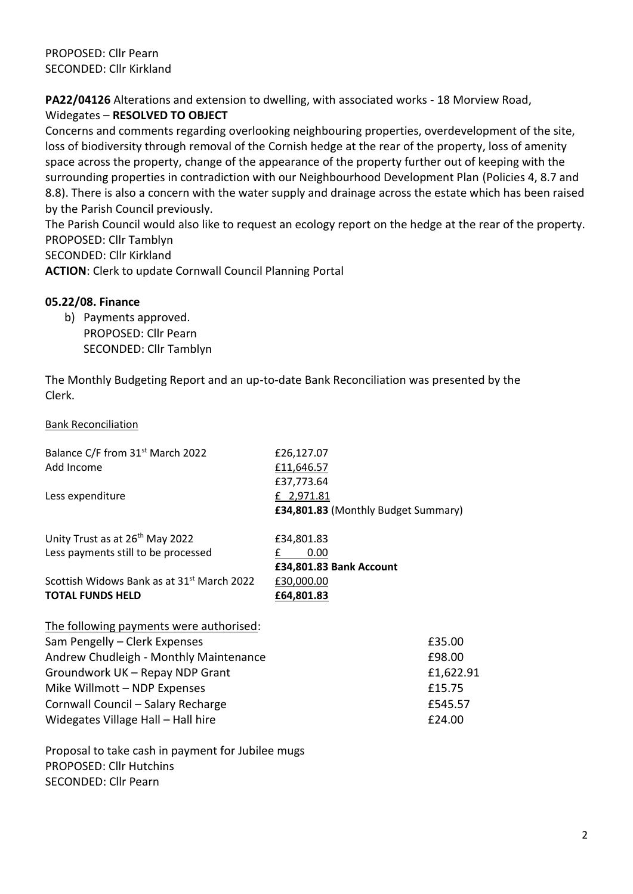PROPOSED: Cllr Pearn SECONDED: Cllr Kirkland

**PA22/04126** Alterations and extension to dwelling, with associated works - 18 Morview Road, Widegates – **RESOLVED TO OBJECT**

Concerns and comments regarding overlooking neighbouring properties, overdevelopment of the site, loss of biodiversity through removal of the Cornish hedge at the rear of the property, loss of amenity space across the property, change of the appearance of the property further out of keeping with the surrounding properties in contradiction with our Neighbourhood Development Plan (Policies 4, 8.7 and 8.8). There is also a concern with the water supply and drainage across the estate which has been raised by the Parish Council previously.

The Parish Council would also like to request an ecology report on the hedge at the rear of the property. PROPOSED: Cllr Tamblyn

SECONDED: Cllr Kirkland

**ACTION**: Clerk to update Cornwall Council Planning Portal

#### **05.22/08. Finance**

b) Payments approved. PROPOSED: Cllr Pearn SECONDED: Cllr Tamblyn

The Monthly Budgeting Report and an up-to-date Bank Reconciliation was presented by the Clerk.

#### Bank Reconciliation

| Balance C/F from 31 <sup>st</sup> March 2022<br>Add Income | £26,127.07<br>£11,646.57<br>£37,773.64            |
|------------------------------------------------------------|---------------------------------------------------|
| Less expenditure                                           | £ 2,971.81<br>£34,801.83 (Monthly Budget Summary) |
| Unity Trust as at 26 <sup>th</sup> May 2022                | £34,801.83                                        |
| Less payments still to be processed                        | 0.00<br>£<br>£34,801.83 Bank Account              |
| Scottish Widows Bank as at 31 <sup>st</sup> March 2022     | £30,000.00                                        |
| <b>TOTAL FUNDS HELD</b>                                    | £64,801.83                                        |
| The following payments were authorised:                    |                                                   |
| Sam Pengelly - Clerk Expenses                              | £35.00                                            |
| Andrew Chudleigh - Monthly Maintenance                     | £98.00                                            |
| Groundwork UK - Repay NDP Grant                            | £1,622.91                                         |
| Mike Willmott - NDP Expenses                               | £15.75                                            |
| Cornwall Council - Salary Recharge                         | £545.57                                           |
| Widegates Village Hall - Hall hire                         | £24.00                                            |

Proposal to take cash in payment for Jubilee mugs PROPOSED: Cllr Hutchins SECONDED: Cllr Pearn